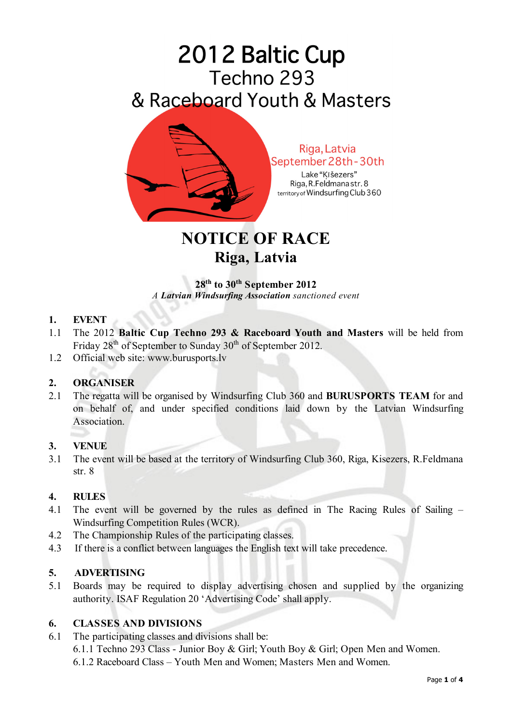

**NOTICE OF RACE Riga, Latvia**

**28th to 30th September 2012** *A Latvian Windsurfing Association sanctioned event*

#### **1. EVENT**

- 1.1 The 2012 **Baltic Cup Techno 293 & Raceboard Youth and Masters** will be held from Friday 28<sup>th</sup> of September to Sunday 30<sup>th</sup> of September 2012.
- 1.2 Official web site: www.burusports.lv

## **2. ORGANISER**

2.1 The regatta will be organised by Windsurfing Club 360 and **BURUSPORTS TEAM** for and on behalf of, and under specified conditions laid down by the Latvian Windsurfing **Association** 

## **3. VENUE**

3.1 The event will be based at the territory of Windsurfing Club 360, Riga, Kisezers, R.Feldmana str. 8

## **4. RULES**

- 4.1 The event will be governed by the rules as defined in The Racing Rules of Sailing Windsurfing Competition Rules (WCR).
- 4.2 The Championship Rules of the participating classes.
- 4.3 If there is a conflict between languages the English text will take precedence.

## **5. ADVERTISING**

5.1 Boards may be required to display advertising chosen and supplied by the organizing authority. ISAF Regulation 20 'Advertising Code' shall apply.

#### **6. CLASSES AND DIVISIONS**

- 6.1 The participating classes and divisions shall be:
	- 6.1.1 Techno 293 Class Junior Boy & Girl; Youth Boy & Girl; Open Men and Women.
	- 6.1.2 Raceboard Class Youth Men and Women; Masters Men and Women.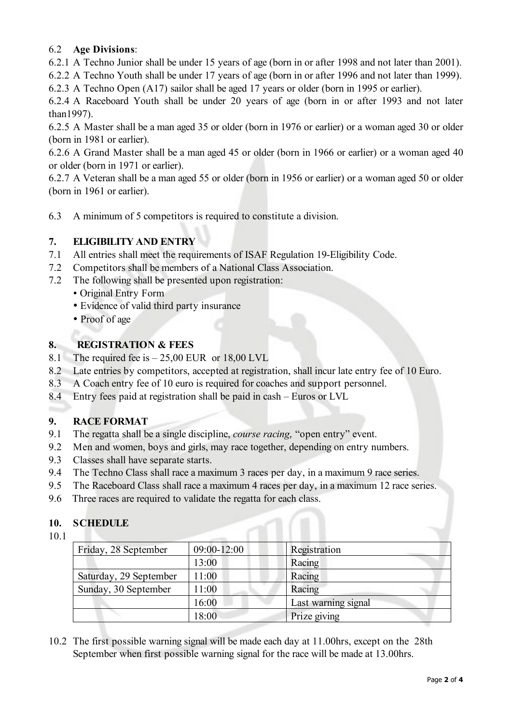# 6.2 **Age Divisions**:

6.2.1 A Techno Junior shall be under 15 years of age (born in or after 1998 and not later than 2001).

6.2.2 A Techno Youth shall be under 17 years of age (born in or after 1996 and not later than 1999).

6.2.3 A Techno Open (A17) sailor shall be aged 17 years or older (born in 1995 or earlier).

6.2.4 A Raceboard Youth shall be under 20 years of age (born in or after 1993 and not later than1997).

6.2.5 A Master shall be a man aged 35 or older (born in 1976 or earlier) or a woman aged 30 or older (born in 1981 or earlier).

6.2.6 A Grand Master shall be a man aged 45 or older (born in 1966 or earlier) or a woman aged 40 or older (born in 1971 or earlier).

6.2.7 A Veteran shall be a man aged 55 or older (born in 1956 or earlier) or a woman aged 50 or older (born in 1961 or earlier).

6.3 A minimum of 5 competitors is required to constitute a division.

# **7. ELIGIBILITY AND ENTRY**

- 7.1 All entries shall meet the requirements of ISAF Regulation 19-Eligibility Code.
- 7.2 Competitors shall be members of a National Class Association.
- 7.2 The following shall be presented upon registration:
	- Original Entry Form
	- Evidence of valid third party insurance
	- Proof of age

# **8. REGISTRATION & FEES**

- 8.1 The required fee is  $-25,00$  EUR or 18,00 LVL
- 8.2 Late entries by competitors, accepted at registration, shall incur late entry fee of 10 Euro.
- 8.3 A Coach entry fee of 10 euro is required for coaches and support personnel.
- 8.4 Entry fees paid at registration shall be paid in cash Euros or LVL

# **9. RACE FORMAT**

- 9.1 The regatta shall be a single discipline, *course racing,* "open entry" event.
- 9.2 Men and women, boys and girls, may race together, depending on entry numbers.
- 9.3 Classes shall have separate starts.
- 9.4 The Techno Class shall race a maximum 3 races per day, in a maximum 9 race series.
- 9.5 The Raceboard Class shall race a maximum 4 races per day, in a maximum 12 race series.
- 9.6 Three races are required to validate the regatta for each class.

## **10. SCHEDULE**

10.1

| Friday, 28 September   | 09:00-12:00 | Registration        |
|------------------------|-------------|---------------------|
|                        | 13:00       | Racing              |
| Saturday, 29 September | 11:00       | Racing              |
| Sunday, 30 September   | 11:00       | Racing              |
|                        | 16:00       | Last warning signal |
|                        | 18:00       | Prize giving        |

10.2 The first possible warning signal will be made each day at 11.00hrs, except on the 28th September when first possible warning signal for the race will be made at 13.00hrs.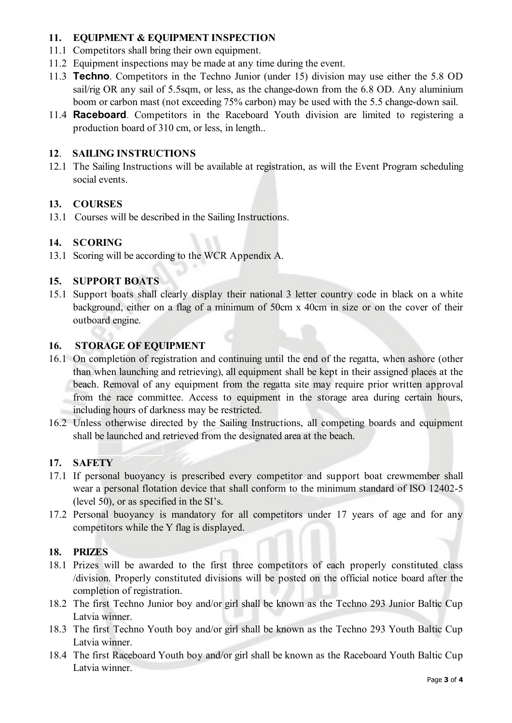## **11. EQUIPMENT & EQUIPMENT INSPECTION**

- 11.1 Competitors shall bring their own equipment.
- 11.2 Equipment inspections may be made at any time during the event.
- 11.3 **Techno**. Competitors in the Techno Junior (under 15) division may use either the 5.8 OD sail/rig OR any sail of 5.5sqm, or less, as the change-down from the 6.8 OD. Any aluminium boom or carbon mast (not exceeding 75% carbon) may be used with the 5.5 change-down sail.
- 11.4 **Raceboard**. Competitors in the Raceboard Youth division are limited to registering a production board of 310 cm, or less, in length..

## **12**. **SAILING INSTRUCTIONS**

12.1 The Sailing Instructions will be available at registration, as will the Event Program scheduling social events.

## **13. COURSES**

13.1 Courses will be described in the Sailing Instructions.

# **14. SCORING**

13.1 Scoring will be according to the WCR Appendix A.

## **15. SUPPORT BOATS**

15.1 Support boats shall clearly display their national 3 letter country code in black on a white background, either on a flag of a minimum of 50cm x 40cm in size or on the cover of their outboard engine.

## **16. STORAGE OF EQUIPMENT**

- 16.1 On completion of registration and continuing until the end of the regatta, when ashore (other than when launching and retrieving), all equipment shall be kept in their assigned places at the beach. Removal of any equipment from the regatta site may require prior written approval from the race committee. Access to equipment in the storage area during certain hours, including hours of darkness may be restricted.
- 16.2 Unless otherwise directed by the Sailing Instructions, all competing boards and equipment shall be launched and retrieved from the designated area at the beach.

## **17. SAFETY**

- 17.1 If personal buoyancy is prescribed every competitor and support boat crewmember shall wear a personal flotation device that shall conform to the minimum standard of ISO 12402-5 (level 50), or as specified in the SI's.
- 17.2 Personal buoyancy is mandatory for all competitors under 17 years of age and for any competitors while the Y flag is displayed.

## **18. PRIZES**

- 18.1 Prizes will be awarded to the first three competitors of each properly constituted class /division. Properly constituted divisions will be posted on the official notice board after the completion of registration.
- 18.2 The first Techno Junior boy and/or girl shall be known as the Techno 293 Junior Baltic Cup Latvia winner.
- 18.3 The first Techno Youth boy and/or girl shall be known as the Techno 293 Youth Baltic Cup Latvia winner.
- 18.4 The first Raceboard Youth boy and/or girl shall be known as the Raceboard Youth Baltic Cup Latvia winner.